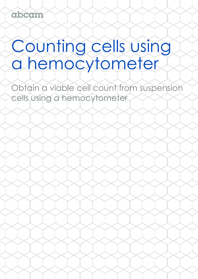# Counting cells using a hemocytometer

Obtain a viable cell count from suspension cells using a hemocytometer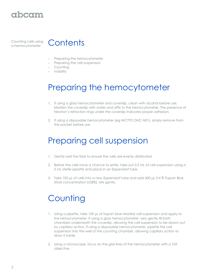

Counting cells using



- Preparing the hemocytometer
- Preparing the cell suspension
- Counting
- Viability

## Preparing the hemocytometer

- 1. If using a glass hemocytometer and coverslip, clean with alcohol before use. Moisten the coverslip with water and affix to the hemocytometer. The presence of Newton's refraction rings under the coverslip indicates proper adhesion.
- 2. If using a disposable hemocytometer (eg INCYTO DHC-N01), simply remove from the packet before use.

## Preparing cell suspension

- 1. Gently swirl the flask to ensure the cells are evenly distributed.
- 2. Before the cells have a chance to settle, take out 0.5 mL of cell suspension using a 5 mL sterile pipette and place in an Eppendorf tube.
- 3. Take 100 μL of cells into a new Eppendorf tube and add 400 μL 0.4 % Trypan Blue (final concentration 0.08%). Mix gently.

### **Counting**

- 1. Using a pipette, take 100 μL of trypan blue-treated cell suspension and apply to the hemocytometer. If using a glass hemocytometer, very gently fill both chambers underneath the coverslip, allowing the cell suspension to be drawn out by capillary action. If using a disposable hemocytometer, pipette the cell suspension into the well of the counting chamber, allowing capillary action to draw it inside.
- 2. Using a microscope, focus on the grid lines of the hemocytometer with a 10X objective.